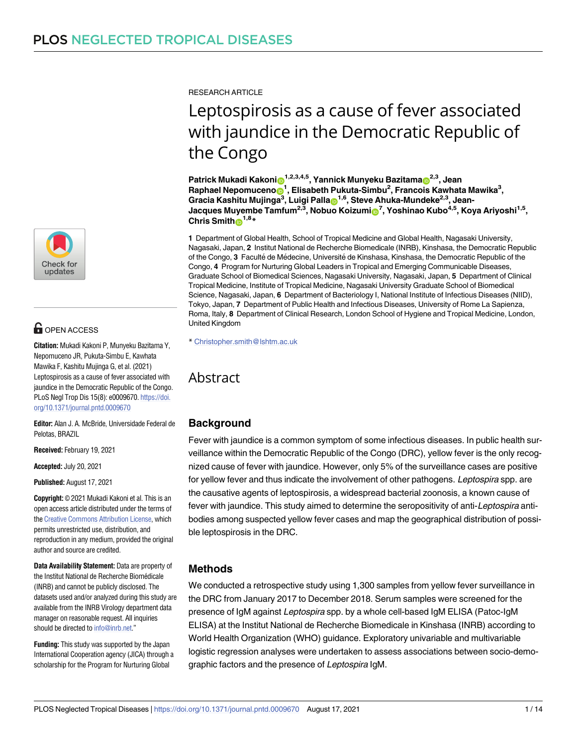

# **OPEN ACCESS**

**Citation:** Mukadi Kakoni P, Munyeku Bazitama Y, Nepomuceno JR, Pukuta-Simbu E, Kawhata Mawika F, Kashitu Mujinga G, et al. (2021) Leptospirosis as a cause of fever associated with jaundice in the Democratic Republic of the Congo. PLoS Negl Trop Dis 15(8): e0009670. [https://doi.](https://doi.org/10.1371/journal.pntd.0009670) [org/10.1371/journal.pntd.0009670](https://doi.org/10.1371/journal.pntd.0009670)

**Editor:** Alan J. A. McBride, Universidade Federal de Pelotas, BRAZIL

**Received:** February 19, 2021

**Accepted:** July 20, 2021

**Published:** August 17, 2021

**Copyright:** © 2021 Mukadi Kakoni et al. This is an open access article distributed under the terms of the Creative [Commons](http://creativecommons.org/licenses/by/4.0/) Attribution License, which permits unrestricted use, distribution, and reproduction in any medium, provided the original author and source are credited.

**Data Availability Statement:** Data are property of the Institut National de Recherche Biomédicale (INRB) and cannot be publicly disclosed. The datasets used and/or analyzed during this study are available from the INRB Virology department data manager on reasonable request. All inquiries should be directed to [info@inrb.net.](mailto:info@inrb.net)"

**Funding:** This study was supported by the Japan International Cooperation agency (JICA) through a scholarship for the Program for Nurturing Global

RESEARCH ARTICLE

# Leptospirosis as a cause of fever associated with jaundice in the Democratic Republic of the Congo

**Patrick Mukadi Kakoni** (1,2,3,4,5, Yannick Munyeku Bazitama (2,3, Jean)  $\mathsf{R}$ aphael Nepomuceno $\mathsf{D}^1$ , Elisabeth Pukuta-Simbu<sup>2</sup>, Francois Kawhata Mawika<sup>3</sup>,  $\boldsymbol{\mathsf{G}}$ racia Kashitu Mujinga $^3$ , Luigi Palla $\boldsymbol{\mathsf{\Xi}}^{1,6}$ , Steve Ahuka-Mundeke $^{2,3}$ , Jean-**Jacques Muyembe Tamfum2,3, Nobuo Koizum[iID](https://orcid.org/0000-0002-5733-535X)7 , Yoshinao Kubo4,5, Koya Ariyoshi1,5, Chris** Smith $\mathbf{D}^{1,8}$ **\*** 

**1** Department of Global Health, School of Tropical Medicine and Global Health, Nagasaki University, Nagasaki, Japan, **2** Institut National de Recherche Biomedicale (INRB), Kinshasa, the Democratic Republic of the Congo, 3 Faculté de Médecine, Université de Kinshasa, Kinshasa, the Democratic Republic of the Congo, **4** Program for Nurturing Global Leaders in Tropical and Emerging Communicable Diseases, Graduate School of Biomedical Sciences, Nagasaki University, Nagasaki, Japan, **5** Department of Clinical Tropical Medicine, Institute of Tropical Medicine, Nagasaki University Graduate School of Biomedical Science, Nagasaki, Japan, **6** Department of Bacteriology I, National Institute of Infectious Diseases (NIID), Tokyo, Japan, **7** Department of Public Health and Infectious Diseases, University of Rome La Sapienza, Roma, Italy, **8** Department of Clinical Research, London School of Hygiene and Tropical Medicine, London, United Kingdom

\* Christopher.smith@lshtm.ac.uk

# Abstract

# **Background**

Fever with jaundice is a common symptom of some infectious diseases. In public health surveillance within the Democratic Republic of the Congo (DRC), yellow fever is the only recognized cause of fever with jaundice. However, only 5% of the surveillance cases are positive for yellow fever and thus indicate the involvement of other pathogens. Leptospira spp. are the causative agents of leptospirosis, a widespread bacterial zoonosis, a known cause of fever with jaundice. This study aimed to determine the seropositivity of anti-Leptospira antibodies among suspected yellow fever cases and map the geographical distribution of possible leptospirosis in the DRC.

# **Methods**

We conducted a retrospective study using 1,300 samples from yellow fever surveillance in the DRC from January 2017 to December 2018. Serum samples were screened for the presence of IgM against Leptospira spp. by a whole cell-based IgM ELISA (Patoc-IgM ELISA) at the Institut National de Recherche Biomedicale in Kinshasa (INRB) according to World Health Organization (WHO) guidance. Exploratory univariable and multivariable logistic regression analyses were undertaken to assess associations between socio-demographic factors and the presence of Leptospira IgM.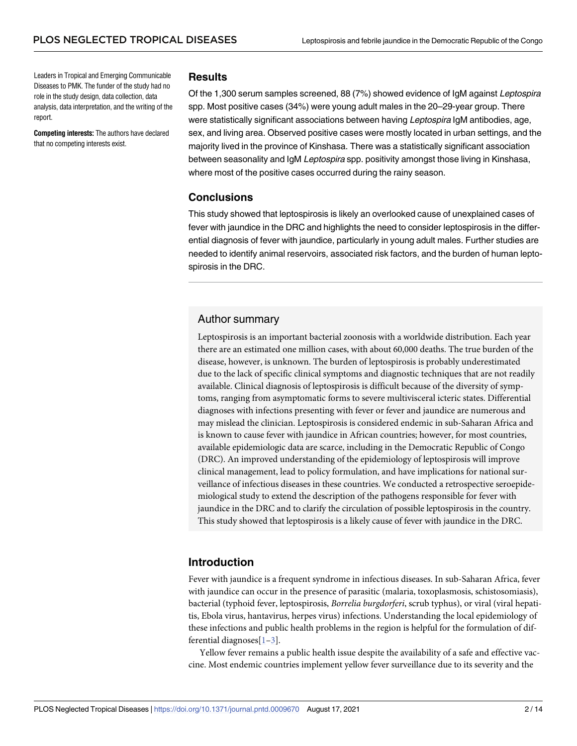<span id="page-1-0"></span>Leaders in Tropical and Emerging Communicable Diseases to PMK. The funder of the study had no role in the study design, data collection, data analysis, data interpretation, and the writing of the report.

**Competing interests:** The authors have declared that no competing interests exist.

#### **Results**

Of the 1,300 serum samples screened, 88 (7%) showed evidence of IgM against Leptospira spp. Most positive cases (34%) were young adult males in the 20–29-year group. There were statistically significant associations between having Leptospira IgM antibodies, age, sex, and living area. Observed positive cases were mostly located in urban settings, and the majority lived in the province of Kinshasa. There was a statistically significant association between seasonality and IgM Leptospira spp. positivity amongst those living in Kinshasa, where most of the positive cases occurred during the rainy season.

#### **Conclusions**

This study showed that leptospirosis is likely an overlooked cause of unexplained cases of fever with jaundice in the DRC and highlights the need to consider leptospirosis in the differential diagnosis of fever with jaundice, particularly in young adult males. Further studies are needed to identify animal reservoirs, associated risk factors, and the burden of human leptospirosis in the DRC.

#### Author summary

Leptospirosis is an important bacterial zoonosis with a worldwide distribution. Each year there are an estimated one million cases, with about 60,000 deaths. The true burden of the disease, however, is unknown. The burden of leptospirosis is probably underestimated due to the lack of specific clinical symptoms and diagnostic techniques that are not readily available. Clinical diagnosis of leptospirosis is difficult because of the diversity of symptoms, ranging from asymptomatic forms to severe multivisceral icteric states. Differential diagnoses with infections presenting with fever or fever and jaundice are numerous and may mislead the clinician. Leptospirosis is considered endemic in sub-Saharan Africa and is known to cause fever with jaundice in African countries; however, for most countries, available epidemiologic data are scarce, including in the Democratic Republic of Congo (DRC). An improved understanding of the epidemiology of leptospirosis will improve clinical management, lead to policy formulation, and have implications for national surveillance of infectious diseases in these countries. We conducted a retrospective seroepidemiological study to extend the description of the pathogens responsible for fever with jaundice in the DRC and to clarify the circulation of possible leptospirosis in the country. This study showed that leptospirosis is a likely cause of fever with jaundice in the DRC.

# **Introduction**

Fever with jaundice is a frequent syndrome in infectious diseases. In sub-Saharan Africa, fever with jaundice can occur in the presence of parasitic (malaria, toxoplasmosis, schistosomiasis), bacterial (typhoid fever, leptospirosis, *Borrelia burgdorferi*, scrub typhus), or viral (viral hepatitis, Ebola virus, hantavirus, herpes virus) infections. Understanding the local epidemiology of these infections and public health problems in the region is helpful for the formulation of differential diagnoses[[1–3](#page-11-0)].

Yellow fever remains a public health issue despite the availability of a safe and effective vaccine. Most endemic countries implement yellow fever surveillance due to its severity and the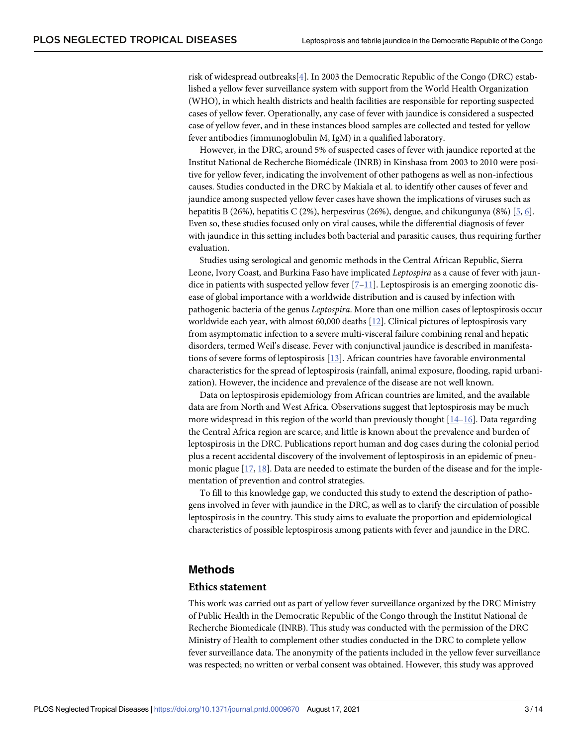<span id="page-2-0"></span>risk of widespread outbreaks[[4](#page-11-0)]. In 2003 the Democratic Republic of the Congo (DRC) established a yellow fever surveillance system with support from the World Health Organization (WHO), in which health districts and health facilities are responsible for reporting suspected cases of yellow fever. Operationally, any case of fever with jaundice is considered a suspected case of yellow fever, and in these instances blood samples are collected and tested for yellow fever antibodies (immunoglobulin M, IgM) in a qualified laboratory.

However, in the DRC, around 5% of suspected cases of fever with jaundice reported at the Institut National de Recherche Biomédicale (INRB) in Kinshasa from 2003 to 2010 were positive for yellow fever, indicating the involvement of other pathogens as well as non-infectious causes. Studies conducted in the DRC by Makiala et al. to identify other causes of fever and jaundice among suspected yellow fever cases have shown the implications of viruses such as hepatitis B (26%), hepatitis C (2%), herpesvirus (26%), dengue, and chikungunya (8%) [[5](#page-11-0), [6\]](#page-11-0). Even so, these studies focused only on viral causes, while the differential diagnosis of fever with jaundice in this setting includes both bacterial and parasitic causes, thus requiring further evaluation.

Studies using serological and genomic methods in the Central African Republic, Sierra Leone, Ivory Coast, and Burkina Faso have implicated *Leptospira* as a cause of fever with jaundice in patients with suspected yellow fever  $[7-11]$  $[7-11]$ . Leptospirosis is an emerging zoonotic disease of global importance with a worldwide distribution and is caused by infection with pathogenic bacteria of the genus *Leptospira*. More than one million cases of leptospirosis occur worldwide each year, with almost 60,000 deaths [[12](#page-12-0)]. Clinical pictures of leptospirosis vary from asymptomatic infection to a severe multi-visceral failure combining renal and hepatic disorders, termed Weil's disease. Fever with conjunctival jaundice is described in manifestations of severe forms of leptospirosis [\[13\]](#page-12-0). African countries have favorable environmental characteristics for the spread of leptospirosis (rainfall, animal exposure, flooding, rapid urbanization). However, the incidence and prevalence of the disease are not well known.

Data on leptospirosis epidemiology from African countries are limited, and the available data are from North and West Africa. Observations suggest that leptospirosis may be much more widespread in this region of the world than previously thought  $[14-16]$ . Data regarding the Central Africa region are scarce, and little is known about the prevalence and burden of leptospirosis in the DRC. Publications report human and dog cases during the colonial period plus a recent accidental discovery of the involvement of leptospirosis in an epidemic of pneumonic plague [[17](#page-12-0), [18\]](#page-12-0). Data are needed to estimate the burden of the disease and for the implementation of prevention and control strategies.

To fill to this knowledge gap, we conducted this study to extend the description of pathogens involved in fever with jaundice in the DRC, as well as to clarify the circulation of possible leptospirosis in the country. This study aims to evaluate the proportion and epidemiological characteristics of possible leptospirosis among patients with fever and jaundice in the DRC.

#### **Methods**

#### **Ethics statement**

This work was carried out as part of yellow fever surveillance organized by the DRC Ministry of Public Health in the Democratic Republic of the Congo through the Institut National de Recherche Biomedicale (INRB). This study was conducted with the permission of the DRC Ministry of Health to complement other studies conducted in the DRC to complete yellow fever surveillance data. The anonymity of the patients included in the yellow fever surveillance was respected; no written or verbal consent was obtained. However, this study was approved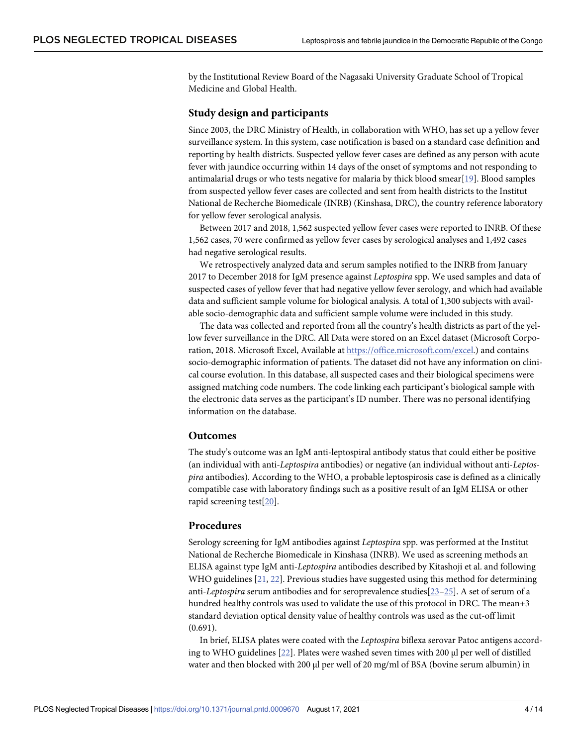<span id="page-3-0"></span>by the Institutional Review Board of the Nagasaki University Graduate School of Tropical Medicine and Global Health.

#### **Study design and participants**

Since 2003, the DRC Ministry of Health, in collaboration with WHO, has set up a yellow fever surveillance system. In this system, case notification is based on a standard case definition and reporting by health districts. Suspected yellow fever cases are defined as any person with acute fever with jaundice occurring within 14 days of the onset of symptoms and not responding to antimalarial drugs or who tests negative for malaria by thick blood smear[\[19\]](#page-12-0). Blood samples from suspected yellow fever cases are collected and sent from health districts to the Institut National de Recherche Biomedicale (INRB) (Kinshasa, DRC), the country reference laboratory for yellow fever serological analysis.

Between 2017 and 2018, 1,562 suspected yellow fever cases were reported to INRB. Of these 1,562 cases, 70 were confirmed as yellow fever cases by serological analyses and 1,492 cases had negative serological results.

We retrospectively analyzed data and serum samples notified to the INRB from January 2017 to December 2018 for IgM presence against *Leptospira* spp. We used samples and data of suspected cases of yellow fever that had negative yellow fever serology, and which had available data and sufficient sample volume for biological analysis. A total of 1,300 subjects with available socio-demographic data and sufficient sample volume were included in this study.

The data was collected and reported from all the country's health districts as part of the yellow fever surveillance in the DRC. All Data were stored on an Excel dataset (Microsoft Corporation, 2018. Microsoft Excel, Available at <https://office.microsoft.com/excel>.) and contains socio-demographic information of patients. The dataset did not have any information on clinical course evolution. In this database, all suspected cases and their biological specimens were assigned matching code numbers. The code linking each participant's biological sample with the electronic data serves as the participant's ID number. There was no personal identifying information on the database.

#### **Outcomes**

The study's outcome was an IgM anti-leptospiral antibody status that could either be positive (an individual with anti-*Leptospira* antibodies) or negative (an individual without anti-*Leptospira* antibodies). According to the WHO, a probable leptospirosis case is defined as a clinically compatible case with laboratory findings such as a positive result of an IgM ELISA or other rapid screening test[\[20\]](#page-12-0).

### **Procedures**

Serology screening for IgM antibodies against *Leptospira* spp. was performed at the Institut National de Recherche Biomedicale in Kinshasa (INRB). We used as screening methods an ELISA against type IgM anti-*Leptospira* antibodies described by Kitashoji et al. and following WHO guidelines [\[21,](#page-12-0) [22\]](#page-12-0). Previous studies have suggested using this method for determining anti-*Leptospira* serum antibodies and for seroprevalence studies[[23](#page-12-0)–[25\]](#page-12-0). A set of serum of a hundred healthy controls was used to validate the use of this protocol in DRC. The mean+3 standard deviation optical density value of healthy controls was used as the cut-off limit (0.691).

In brief, ELISA plates were coated with the *Leptospira* biflexa serovar Patoc antigens according to WHO guidelines [\[22\]](#page-12-0). Plates were washed seven times with 200 μl per well of distilled water and then blocked with 200 μl per well of 20 mg/ml of BSA (bovine serum albumin) in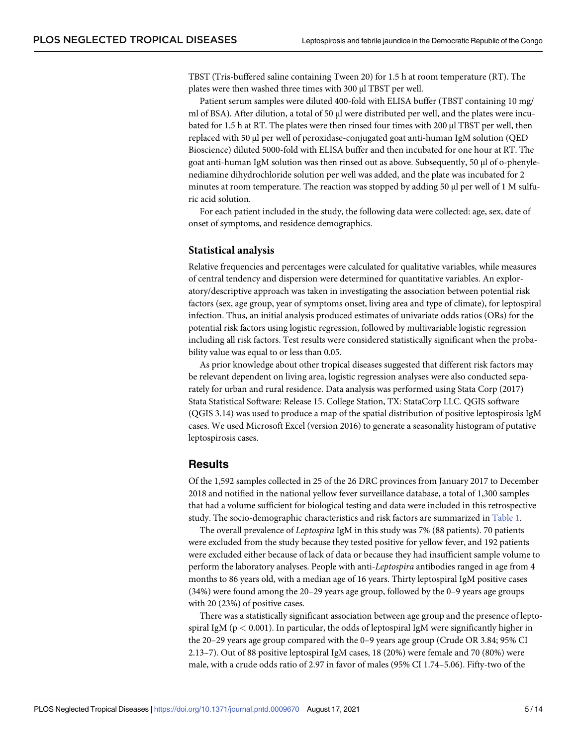<span id="page-4-0"></span>TBST (Tris-buffered saline containing Tween 20) for 1.5 h at room temperature (RT). The plates were then washed three times with 300 μl TBST per well.

Patient serum samples were diluted 400-fold with ELISA buffer (TBST containing 10 mg/ ml of BSA). After dilution, a total of 50 μl were distributed per well, and the plates were incubated for 1.5 h at RT. The plates were then rinsed four times with 200 μl TBST per well, then replaced with 50 μl per well of peroxidase-conjugated goat anti-human IgM solution (QED Bioscience) diluted 5000-fold with ELISA buffer and then incubated for one hour at RT. The goat anti-human IgM solution was then rinsed out as above. Subsequently, 50 μl of o-phenylenediamine dihydrochloride solution per well was added, and the plate was incubated for 2 minutes at room temperature. The reaction was stopped by adding 50 μl per well of 1 M sulfuric acid solution.

For each patient included in the study, the following data were collected: age, sex, date of onset of symptoms, and residence demographics.

#### **Statistical analysis**

Relative frequencies and percentages were calculated for qualitative variables, while measures of central tendency and dispersion were determined for quantitative variables. An exploratory/descriptive approach was taken in investigating the association between potential risk factors (sex, age group, year of symptoms onset, living area and type of climate), for leptospiral infection. Thus, an initial analysis produced estimates of univariate odds ratios (ORs) for the potential risk factors using logistic regression, followed by multivariable logistic regression including all risk factors. Test results were considered statistically significant when the probability value was equal to or less than 0.05.

As prior knowledge about other tropical diseases suggested that different risk factors may be relevant dependent on living area, logistic regression analyses were also conducted separately for urban and rural residence. Data analysis was performed using Stata Corp (2017) Stata Statistical Software: Release 15. College Station, TX: StataCorp LLC. QGIS software (QGIS 3.14) was used to produce a map of the spatial distribution of positive leptospirosis IgM cases. We used Microsoft Excel (version 2016) to generate a seasonality histogram of putative leptospirosis cases.

# **Results**

Of the 1,592 samples collected in 25 of the 26 DRC provinces from January 2017 to December 2018 and notified in the national yellow fever surveillance database, a total of 1,300 samples that had a volume sufficient for biological testing and data were included in this retrospective study. The socio-demographic characteristics and risk factors are summarized in [Table](#page-5-0) 1.

The overall prevalence of *Leptospira* IgM in this study was 7% (88 patients). 70 patients were excluded from the study because they tested positive for yellow fever, and 192 patients were excluded either because of lack of data or because they had insufficient sample volume to perform the laboratory analyses. People with anti-*Leptospira* antibodies ranged in age from 4 months to 86 years old, with a median age of 16 years. Thirty leptospiral IgM positive cases (34%) were found among the 20–29 years age group, followed by the 0–9 years age groups with 20 (23%) of positive cases.

There was a statistically significant association between age group and the presence of leptospiral IgM ( $p < 0.001$ ). In particular, the odds of leptospiral IgM were significantly higher in the 20–29 years age group compared with the 0–9 years age group (Crude OR 3.84; 95% CI 2.13–7). Out of 88 positive leptospiral IgM cases, 18 (20%) were female and 70 (80%) were male, with a crude odds ratio of 2.97 in favor of males (95% CI 1.74–5.06). Fifty-two of the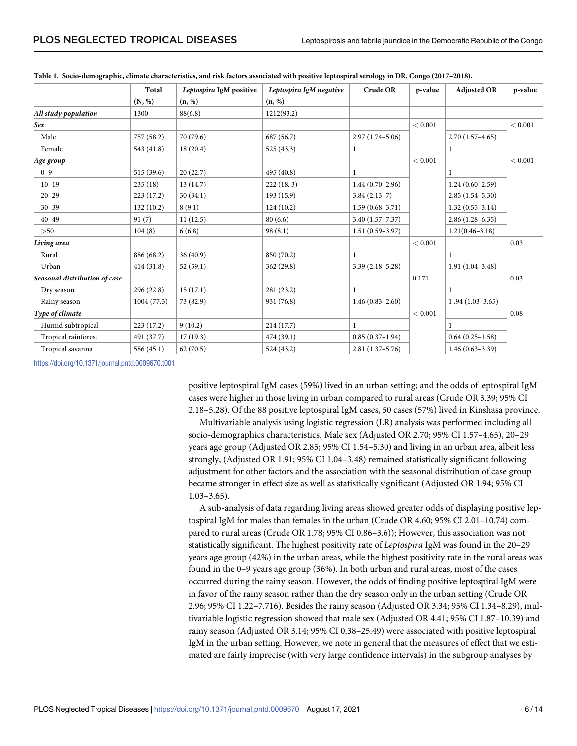|                               | <b>Total</b> | Leptospira IgM positive | Leptospira IgM negative | <b>Crude OR</b>     | p-value | <b>Adjusted OR</b>  | p-value |
|-------------------------------|--------------|-------------------------|-------------------------|---------------------|---------|---------------------|---------|
|                               | (N, %)       | (n, %)                  | (n, %)                  |                     |         |                     |         |
| All study population          | 1300         | 88(6.8)                 | 1212(93.2)              |                     |         |                     |         |
| Sex                           |              |                         |                         |                     | < 0.001 |                     | < 0.001 |
| Male                          | 757 (58.2)   | 70 (79.6)               | 687 (56.7)              | $2.97(1.74 - 5.06)$ |         | $2.70(1.57-4.65)$   |         |
| Female                        | 543 (41.8)   | 18(20.4)                | 525 (43.3)              | 1                   |         | 1                   |         |
| Age group                     |              |                         |                         |                     | < 0.001 |                     | < 0.001 |
| $0 - 9$                       | 515(39.6)    | 20(22.7)                | 495 (40.8)              |                     |         |                     |         |
| $10 - 19$                     | 235(18)      | 13 (14.7)               | 222(18.3)               | $1.44(0.70-2.96)$   |         | $1.24(0.60-2.59)$   |         |
| $20 - 29$                     | 223(17.2)    | 30(34.1)                | 193(15.9)               | $3.84(2.13-7)$      |         | $2.85(1.54 - 5.30)$ |         |
| $30 - 39$                     | 132(10.2)    | 8(9.1)                  | 124(10.2)               | $1.59(0.68 - 3.71)$ |         | $1.32(0.55 - 3.14)$ |         |
| $40 - 49$                     | 91(7)        | 11(12.5)                | 80(6.6)                 | $3.40(1.57 - 7.37)$ |         | $2.86(1.28 - 6.35)$ |         |
| >50                           | 104(8)       | 6(6.8)                  | 98(8.1)                 | $1.51(0.59 - 3.97)$ |         | $1.21(0.46 - 3.18)$ |         |
| Living area                   |              |                         |                         |                     | < 0.001 |                     | 0.03    |
| Rural                         | 886 (68.2)   | 36(40.9)                | 850 (70.2)              |                     |         |                     |         |
| Urban                         | 414(31.8)    | 52(59.1)                | 362 (29.8)              | $3.39(2.18 - 5.28)$ |         | $1.91(1.04 - 3.48)$ |         |
| Seasonal distribution of case |              |                         |                         |                     | 0.171   |                     | 0.03    |
| Dry season                    | 296(22.8)    | 15(17.1)                | 281 (23.2)              |                     |         |                     |         |
| Rainy season                  | 1004(77.3)   | 73 (82.9)               | 931 (76.8)              | $1.46(0.83 - 2.60)$ |         | $1.94(1.03-3.65)$   |         |
| Type of climate               |              |                         |                         |                     | < 0.001 |                     | 0.08    |
| Humid subtropical             | 223 (17.2)   | 9(10.2)                 | 214(17.7)               |                     |         |                     |         |
| Tropical rainforest           | 491 (37.7)   | 17(19.3)                | 474 (39.1)              | $0.85(0.37-1.94)$   |         | $0.64(0.25-1.58)$   |         |
| Tropical savanna              | 586 (45.1)   | 62(70.5)                | 524 (43.2)              | $2.81(1.37-5.76)$   |         | $1.46(0.63 - 3.39)$ |         |

<span id="page-5-0"></span>

|  | Table 1. Socio-demographic, climate characteristics, and risk factors associated with positive leptospiral serology in DR. Congo (2017-2018). |  |  |  |
|--|-----------------------------------------------------------------------------------------------------------------------------------------------|--|--|--|
|  |                                                                                                                                               |  |  |  |

<https://doi.org/10.1371/journal.pntd.0009670.t001>

positive leptospiral IgM cases (59%) lived in an urban setting; and the odds of leptospiral IgM cases were higher in those living in urban compared to rural areas (Crude OR 3.39; 95% CI 2.18–5.28). Of the 88 positive leptospiral IgM cases, 50 cases (57%) lived in Kinshasa province.

Multivariable analysis using logistic regression (LR) analysis was performed including all socio-demographics characteristics. Male sex (Adjusted OR 2.70; 95% CI 1.57–4.65), 20–29 years age group (Adjusted OR 2.85; 95% CI 1.54–5.30) and living in an urban area, albeit less strongly, (Adjusted OR 1.91; 95% CI 1.04–3.48) remained statistically significant following adjustment for other factors and the association with the seasonal distribution of case group became stronger in effect size as well as statistically significant (Adjusted OR 1.94; 95% CI 1.03–3.65).

A sub-analysis of data regarding living areas showed greater odds of displaying positive leptospiral IgM for males than females in the urban (Crude OR 4.60; 95% CI 2.01–10.74) compared to rural areas (Crude OR 1.78; 95% CI 0.86–3.6)); However, this association was not statistically significant. The highest positivity rate of *Leptospira* IgM was found in the 20–29 years age group (42%) in the urban areas, while the highest positivity rate in the rural areas was found in the 0–9 years age group (36%). In both urban and rural areas, most of the cases occurred during the rainy season. However, the odds of finding positive leptospiral IgM were in favor of the rainy season rather than the dry season only in the urban setting (Crude OR 2.96; 95% CI 1.22–7.716). Besides the rainy season (Adjusted OR 3.34; 95% CI 1.34–8.29), multivariable logistic regression showed that male sex (Adjusted OR 4.41; 95% CI 1.87–10.39) and rainy season (Adjusted OR 3.14; 95% CI 0.38–25.49) were associated with positive leptospiral IgM in the urban setting. However, we note in general that the measures of effect that we estimated are fairly imprecise (with very large confidence intervals) in the subgroup analyses by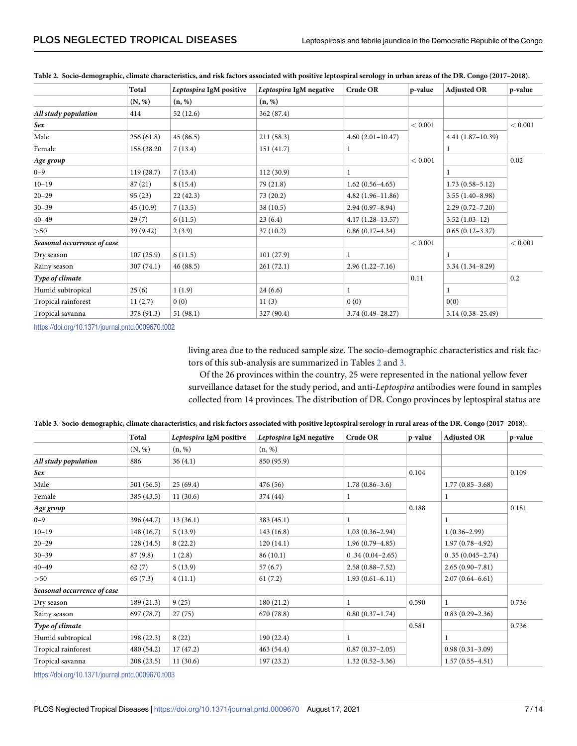|                             | Total       | Leptospira IgM positive | Leptospira IgM negative | Crude OR             | p-value | <b>Adjusted OR</b>   | p-value |
|-----------------------------|-------------|-------------------------|-------------------------|----------------------|---------|----------------------|---------|
|                             | (N, %)      | (n, %)                  | (n, %)                  |                      |         |                      |         |
| All study population        | 414         | 52(12.6)                | 362 (87.4)              |                      |         |                      |         |
| Sex                         |             |                         |                         |                      |         |                      | < 0.001 |
| Male                        | 256(61.8)   | 45(86.5)                | 211(58.3)               | $4.60(2.01-10.47)$   |         | $4.41(1.87-10.39)$   |         |
| Female                      | 158 (38.20) | 7(13.4)                 | 151(41.7)               |                      |         |                      |         |
| Age group                   |             |                         |                         |                      | < 0.001 |                      | 0.02    |
| $0 - 9$                     | 119(28.7)   | 7(13.4)                 | 112(30.9)               |                      |         |                      |         |
| $10 - 19$                   | 87(21)      | 8(15.4)                 | 79 (21.8)               | $1.62(0.56 - 4.65)$  |         | $1.73(0.58 - 5.12)$  |         |
| $20 - 29$                   | 95(23)      | 22(42.3)                | 73(20.2)                | $4.82(1.96 - 11.86)$ |         | $3.55(1.40-8.98)$    |         |
| $30 - 39$                   | 45(10.9)    | 7(13.5)                 | 38(10.5)                | $2.94(0.97 - 8.94)$  |         | $2.29(0.72 - 7.20)$  |         |
| $40 - 49$                   | 29(7)       | 6(11.5)                 | 23(6.4)                 | $4.17(1.28 - 13.57)$ |         | $3.52(1.03-12)$      |         |
| >50                         | 39 (9.42)   | 2(3.9)                  | 37(10.2)                | $0.86(0.17-4.34)$    |         | $0.65(0.12-3.37)$    |         |
| Seasonal occurrence of case |             |                         |                         |                      | < 0.001 |                      | < 0.001 |
| Dry season                  | 107(25.9)   | 6(11.5)                 | 101(27.9)               | 1                    |         |                      |         |
| Rainy season                | 307(74.1)   | 46(88.5)                | 261(72.1)               | $2.96(1.22 - 7.16)$  |         | $3.34(1.34 - 8.29)$  |         |
| Type of climate             |             |                         |                         |                      | 0.11    |                      | 0.2     |
| Humid subtropical           | 25(6)       | 1(1.9)                  | 24(6.6)                 |                      |         |                      |         |
| Tropical rainforest         | 11(2.7)     | 0(0)                    | 11(3)                   | 0(0)                 |         | 0(0)                 |         |
| Tropical savanna            | 378 (91.3)  | 51(98.1)                | 327 (90.4)              | $3.74(0.49 - 28.27)$ |         | $3.14(0.38 - 25.49)$ |         |

Table 2. Socio-demographic, climate characteristics, and risk factors associated with positive leptospiral serology in urban areas of the DR. Congo (2017-2018).

<https://doi.org/10.1371/journal.pntd.0009670.t002>

living area due to the reduced sample size. The socio-demographic characteristics and risk factors of this sub-analysis are summarized in Tables 2 and 3.

Of the 26 provinces within the country, 25 were represented in the national yellow fever surveillance dataset for the study period, and anti-*Leptospira* antibodies were found in samples collected from 14 provinces. The distribution of DR. Congo provinces by leptospiral status are

| Table 3. Socio-demographic, climate characteristics, and risk factors associated with positive leptospiral serology in rural areas of the DR. Congo (2017–2018). |  |  |
|------------------------------------------------------------------------------------------------------------------------------------------------------------------|--|--|
|------------------------------------------------------------------------------------------------------------------------------------------------------------------|--|--|

|                             | Total      | Leptospira IgM positive | Leptospira IgM negative | Crude OR            | p-value | <b>Adjusted OR</b>   | p-value |
|-----------------------------|------------|-------------------------|-------------------------|---------------------|---------|----------------------|---------|
|                             | (N, %)     | (n, %)                  | (n, %)                  |                     |         |                      |         |
| All study population        | 886        | 36(4.1)                 | 850 (95.9)              |                     |         |                      |         |
| Sex                         |            |                         |                         |                     | 0.104   |                      | 0.109   |
| Male                        | 501(56.5)  | 25(69.4)                | 476 (56)                | $1.78(0.86 - 3.6)$  |         | $1.77(0.85 - 3.68)$  |         |
| Female                      | 385 (43.5) | 11(30.6)                | 374 (44)                | 1                   |         | 1                    |         |
| Age group                   |            |                         |                         |                     | 0.188   |                      | 0.181   |
| $0 - 9$                     | 396 (44.7) | 13(36.1)                | 383(45.1)               | 1                   |         |                      |         |
| $10 - 19$                   | 148 (16.7) | 5(13.9)                 | 143 (16.8)              | $1.03(0.36 - 2.94)$ |         | $1.(0.36-2.99)$      |         |
| $20 - 29$                   | 128(14.5)  | 8(22.2)                 | 120(14.1)               | $1.96(0.79 - 4.85)$ |         | $1.97(0.78 - 4.92)$  |         |
| $30 - 39$                   | 87(9.8)    | 1(2.8)                  | 86(10.1)                | $0.34(0.04-2.65)$   |         | $0.35(0.045 - 2.74)$ |         |
| $40 - 49$                   | 62(7)      | 5(13.9)                 | 57(6.7)                 | $2.58(0.88 - 7.52)$ |         | $2.65(0.90 - 7.81)$  |         |
| >50                         | 65(7.3)    | 4(11.1)                 | 61(7.2)                 | $1.93(0.61-6.11)$   |         | $2.07(0.64 - 6.61)$  |         |
| Seasonal occurrence of case |            |                         |                         |                     |         |                      |         |
| Dry season                  | 189 (21.3) | 9(25)                   | 180 (21.2)              |                     | 0.590   | 1                    | 0.736   |
| Rainy season                | 697 (78.7) | 27(75)                  | 670 (78.8)              | $0.80(0.37-1.74)$   |         | $0.83(0.29-2.36)$    |         |
| Type of climate             |            |                         |                         |                     | 0.581   |                      | 0.736   |
| Humid subtropical           | 198 (22.3) | 8(22)                   | 190(22.4)               |                     |         |                      |         |
| Tropical rainforest         | 480 (54.2) | 17(47.2)                | 463 (54.4)              | $0.87(0.37-2.05)$   |         | $0.98(0.31-3.09)$    |         |
| Tropical savanna            | 208(23.5)  | 11(30.6)                | 197 (23.2)              | $1.32(0.52 - 3.36)$ |         | $1.57(0.55-4.51)$    |         |

<https://doi.org/10.1371/journal.pntd.0009670.t003>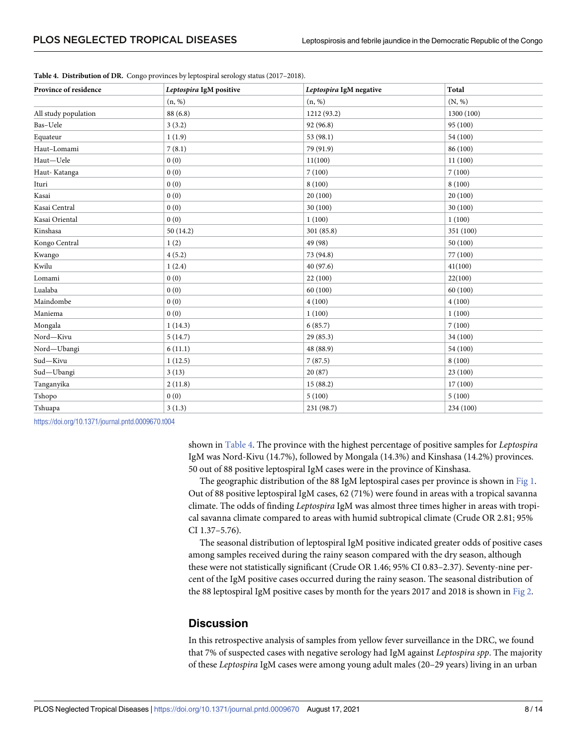| Province of residence | Leptospira IgM positive | Leptospira IgM negative | Total      |
|-----------------------|-------------------------|-------------------------|------------|
|                       | (n, %)                  | (n, %)                  | (N, %)     |
| All study population  | 88 (6.8)                | 1212 (93.2)             | 1300 (100) |
| Bas-Uele              | 3(3.2)                  | 92 (96.8)               | 95 (100)   |
| Equateur              | 1(1.9)                  | 53 (98.1)               | 54 (100)   |
| Haut-Lomami           | 7(8.1)                  | 79 (91.9)               | 86 (100)   |
| Haut-Uele             | 0(0)                    | 11(100)                 | 11(100)    |
| Haut-Katanga          | 0(0)                    | 7(100)                  | 7(100)     |
| Ituri                 | 0(0)                    | 8(100)                  | 8(100)     |
| Kasai                 | 0(0)                    | 20(100)                 | 20(100)    |
| Kasai Central         | 0(0)                    | 30 (100)                | 30 (100)   |
| Kasai Oriental        | 0(0)                    | 1(100)                  | 1(100)     |
| Kinshasa              | 50(14.2)                | 301 (85.8)              | 351 (100)  |
| Kongo Central         | 1(2)                    | 49 (98)                 | 50(100)    |
| Kwango                | 4(5.2)                  | 73 (94.8)               | 77 (100)   |
| Kwilu                 | 1(2.4)                  | 40 (97.6)               | 41(100)    |
| Lomami                | 0(0)                    | 22(100)                 | 22(100)    |
| Lualaba               | 0(0)                    | 60 (100)                | 60 (100)   |
| Maindombe             | 0(0)                    | 4(100)                  | 4(100)     |
| Maniema               | 0(0)                    | 1(100)                  | 1(100)     |
| Mongala               | 1(14.3)                 | 6(85.7)                 | 7(100)     |
| Nord-Kivu             | 5(14.7)                 | 29(85.3)                | 34 (100)   |
| Nord-Ubangi           | 6(11.1)                 | 48 (88.9)               | 54 (100)   |
| Sud-Kivu              | 1(12.5)                 | 7(87.5)                 | 8(100)     |
| Sud-Ubangi            | 3(13)                   | 20(87)                  | 23(100)    |
| Tanganyika            | 2(11.8)                 | 15(88.2)                | 17(100)    |
| Tshopo                | 0(0)                    | 5(100)                  | 5(100)     |
| Tshuapa               | 3(1.3)                  | 231 (98.7)              | 234 (100)  |

<span id="page-7-0"></span>**Table 4. Distribution of DR.** Congo provinces by leptospiral serology status (2017–2018).

<https://doi.org/10.1371/journal.pntd.0009670.t004>

shown in Table 4. The province with the highest percentage of positive samples for *Leptospira* IgM was Nord-Kivu (14.7%), followed by Mongala (14.3%) and Kinshasa (14.2%) provinces. 50 out of 88 positive leptospiral IgM cases were in the province of Kinshasa.

The geographic distribution of the 88 IgM leptospiral cases per province is shown in [Fig](#page-8-0) 1. Out of 88 positive leptospiral IgM cases, 62 (71%) were found in areas with a tropical savanna climate. The odds of finding *Leptospira* IgM was almost three times higher in areas with tropical savanna climate compared to areas with humid subtropical climate (Crude OR 2.81; 95% CI 1.37–5.76).

The seasonal distribution of leptospiral IgM positive indicated greater odds of positive cases among samples received during the rainy season compared with the dry season, although these were not statistically significant (Crude OR 1.46; 95% CI 0.83–2.37). Seventy-nine percent of the IgM positive cases occurred during the rainy season. The seasonal distribution of the 88 leptospiral IgM positive cases by month for the years 2017 and 2018 is shown in [Fig](#page-8-0) 2.

## **Discussion**

In this retrospective analysis of samples from yellow fever surveillance in the DRC, we found that 7% of suspected cases with negative serology had IgM against *Leptospira spp*. The majority of these *Leptospira* IgM cases were among young adult males (20–29 years) living in an urban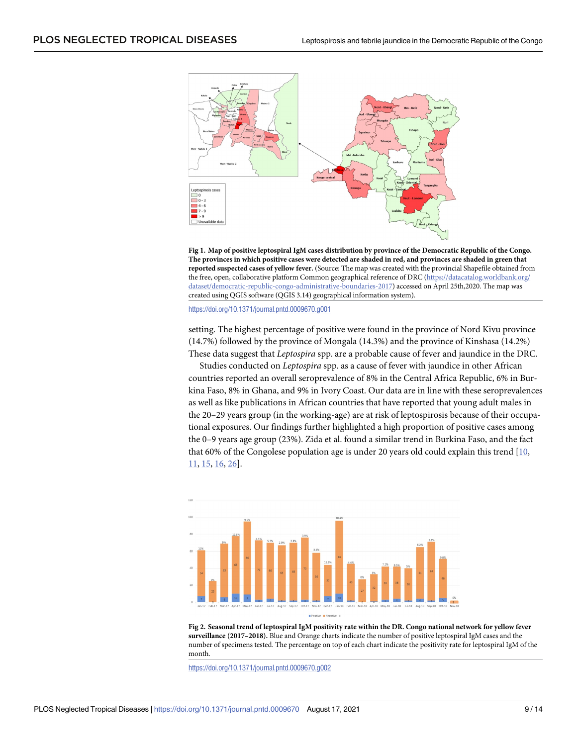<span id="page-8-0"></span>

[Fig](#page-7-0) 1. Map of positive leptospiral IgM cases distribution by province of the Democratic Republic of the Congo. The provinces in which positive cases were detected are shaded in red, and provinces are shaded in green that **reported suspected cases of yellow fever.** (Source: The map was created with the provincial Shapefile obtained from the free, open, collaborative platform Common geographical reference of DRC ([https://datacatalog.worldbank.org/](https://datacatalog.worldbank.org/dataset/democratic-republic-congo-administrative-boundaries-2017) [dataset/democratic-republic-congo-administrative-boundaries-2017\)](https://datacatalog.worldbank.org/dataset/democratic-republic-congo-administrative-boundaries-2017) accessed on April 25th,2020. The map was created using QGIS software (QGIS 3.14) geographical information system).

<https://doi.org/10.1371/journal.pntd.0009670.g001>

setting. The highest percentage of positive were found in the province of Nord Kivu province (14.7%) followed by the province of Mongala (14.3%) and the province of Kinshasa (14.2%) These data suggest that *Leptospira* spp. are a probable cause of fever and jaundice in the DRC.

Studies conducted on *Leptospira* spp. as a cause of fever with jaundice in other African countries reported an overall seroprevalence of 8% in the Central Africa Republic, 6% in Burkina Faso, 8% in Ghana, and 9% in Ivory Coast. Our data are in line with these seroprevalences as well as like publications in African countries that have reported that young adult males in the 20–29 years group (in the working-age) are at risk of leptospirosis because of their occupational exposures. Our findings further highlighted a high proportion of positive cases among the 0–9 years age group (23%). Zida et al. found a similar trend in Burkina Faso, and the fact that 60% of the Congolese population age is under 20 years old could explain this trend [[10](#page-12-0), [11,](#page-12-0) [15](#page-12-0), [16](#page-12-0), [26](#page-12-0)].



[Fig](#page-7-0) 2. Seasonal trend of leptospiral IgM positivity rate within the DR. Congo national network for yellow fever **surveillance (2017–2018).** Blue and Orange charts indicate the number of positive leptospiral IgM cases and the number of specimens tested. The percentage on top of each chart indicate the positivity rate for leptospiral IgM of the month.

<https://doi.org/10.1371/journal.pntd.0009670.g002>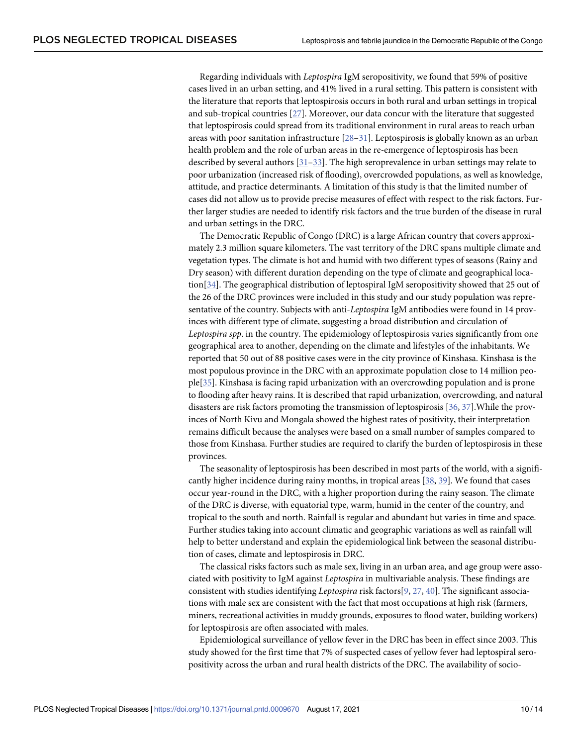<span id="page-9-0"></span>Regarding individuals with *Leptospira* IgM seropositivity, we found that 59% of positive cases lived in an urban setting, and 41% lived in a rural setting. This pattern is consistent with the literature that reports that leptospirosis occurs in both rural and urban settings in tropical and sub-tropical countries [[27\]](#page-12-0). Moreover, our data concur with the literature that suggested that leptospirosis could spread from its traditional environment in rural areas to reach urban areas with poor sanitation infrastructure  $[28-31]$  $[28-31]$  $[28-31]$ . Leptospirosis is globally known as an urban health problem and the role of urban areas in the re-emergence of leptospirosis has been described by several authors [[31–33\]](#page-13-0). The high seroprevalence in urban settings may relate to poor urbanization (increased risk of flooding), overcrowded populations, as well as knowledge, attitude, and practice determinants. A limitation of this study is that the limited number of cases did not allow us to provide precise measures of effect with respect to the risk factors. Further larger studies are needed to identify risk factors and the true burden of the disease in rural and urban settings in the DRC.

The Democratic Republic of Congo (DRC) is a large African country that covers approximately 2.3 million square kilometers. The vast territory of the DRC spans multiple climate and vegetation types. The climate is hot and humid with two different types of seasons (Rainy and Dry season) with different duration depending on the type of climate and geographical location[[34](#page-13-0)]. The geographical distribution of leptospiral IgM seropositivity showed that 25 out of the 26 of the DRC provinces were included in this study and our study population was representative of the country. Subjects with anti-*Leptospira* IgM antibodies were found in 14 provinces with different type of climate, suggesting a broad distribution and circulation of *Leptospira spp*. in the country. The epidemiology of leptospirosis varies significantly from one geographical area to another, depending on the climate and lifestyles of the inhabitants. We reported that 50 out of 88 positive cases were in the city province of Kinshasa. Kinshasa is the most populous province in the DRC with an approximate population close to 14 million people[\[35\]](#page-13-0). Kinshasa is facing rapid urbanization with an overcrowding population and is prone to flooding after heavy rains. It is described that rapid urbanization, overcrowding, and natural disasters are risk factors promoting the transmission of leptospirosis [\[36,](#page-13-0) [37\]](#page-13-0).While the provinces of North Kivu and Mongala showed the highest rates of positivity, their interpretation remains difficult because the analyses were based on a small number of samples compared to those from Kinshasa. Further studies are required to clarify the burden of leptospirosis in these provinces.

The seasonality of leptospirosis has been described in most parts of the world, with a significantly higher incidence during rainy months, in tropical areas [\[38,](#page-13-0) [39\]](#page-13-0). We found that cases occur year-round in the DRC, with a higher proportion during the rainy season. The climate of the DRC is diverse, with equatorial type, warm, humid in the center of the country, and tropical to the south and north. Rainfall is regular and abundant but varies in time and space. Further studies taking into account climatic and geographic variations as well as rainfall will help to better understand and explain the epidemiological link between the seasonal distribution of cases, climate and leptospirosis in DRC.

The classical risks factors such as male sex, living in an urban area, and age group were associated with positivity to IgM against *Leptospira* in multivariable analysis. These findings are consistent with studies identifying *Leptospira* risk factors[[9,](#page-11-0) [27,](#page-12-0) [40\]](#page-13-0). The significant associations with male sex are consistent with the fact that most occupations at high risk (farmers, miners, recreational activities in muddy grounds, exposures to flood water, building workers) for leptospirosis are often associated with males.

Epidemiological surveillance of yellow fever in the DRC has been in effect since 2003. This study showed for the first time that 7% of suspected cases of yellow fever had leptospiral seropositivity across the urban and rural health districts of the DRC. The availability of socio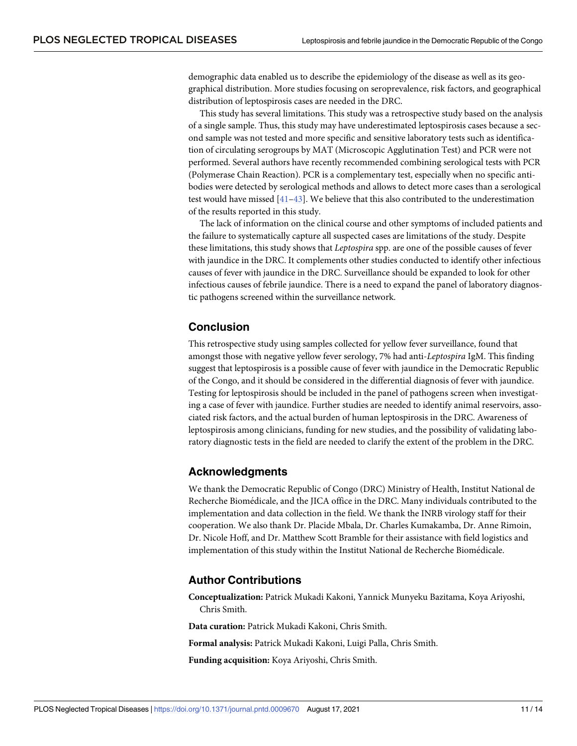<span id="page-10-0"></span>demographic data enabled us to describe the epidemiology of the disease as well as its geographical distribution. More studies focusing on seroprevalence, risk factors, and geographical distribution of leptospirosis cases are needed in the DRC.

This study has several limitations. This study was a retrospective study based on the analysis of a single sample. Thus, this study may have underestimated leptospirosis cases because a second sample was not tested and more specific and sensitive laboratory tests such as identification of circulating serogroups by MAT (Microscopic Agglutination Test) and PCR were not performed. Several authors have recently recommended combining serological tests with PCR (Polymerase Chain Reaction). PCR is a complementary test, especially when no specific antibodies were detected by serological methods and allows to detect more cases than a serological test would have missed [[41](#page-13-0)–[43](#page-13-0)]. We believe that this also contributed to the underestimation of the results reported in this study.

The lack of information on the clinical course and other symptoms of included patients and the failure to systematically capture all suspected cases are limitations of the study. Despite these limitations, this study shows that *Leptospira* spp. are one of the possible causes of fever with jaundice in the DRC. It complements other studies conducted to identify other infectious causes of fever with jaundice in the DRC. Surveillance should be expanded to look for other infectious causes of febrile jaundice. There is a need to expand the panel of laboratory diagnostic pathogens screened within the surveillance network.

# **Conclusion**

This retrospective study using samples collected for yellow fever surveillance, found that amongst those with negative yellow fever serology, 7% had anti-*Leptospira* IgM. This finding suggest that leptospirosis is a possible cause of fever with jaundice in the Democratic Republic of the Congo, and it should be considered in the differential diagnosis of fever with jaundice. Testing for leptospirosis should be included in the panel of pathogens screen when investigating a case of fever with jaundice. Further studies are needed to identify animal reservoirs, associated risk factors, and the actual burden of human leptospirosis in the DRC. Awareness of leptospirosis among clinicians, funding for new studies, and the possibility of validating laboratory diagnostic tests in the field are needed to clarify the extent of the problem in the DRC.

#### **Acknowledgments**

We thank the Democratic Republic of Congo (DRC) Ministry of Health, Institut National de Recherche Biomédicale, and the JICA office in the DRC. Many individuals contributed to the implementation and data collection in the field. We thank the INRB virology staff for their cooperation. We also thank Dr. Placide Mbala, Dr. Charles Kumakamba, Dr. Anne Rimoin, Dr. Nicole Hoff, and Dr. Matthew Scott Bramble for their assistance with field logistics and implementation of this study within the Institut National de Recherche Biomédicale.

#### **Author Contributions**

**Conceptualization:** Patrick Mukadi Kakoni, Yannick Munyeku Bazitama, Koya Ariyoshi, Chris Smith.

**Data curation:** Patrick Mukadi Kakoni, Chris Smith.

**Formal analysis:** Patrick Mukadi Kakoni, Luigi Palla, Chris Smith.

**Funding acquisition:** Koya Ariyoshi, Chris Smith.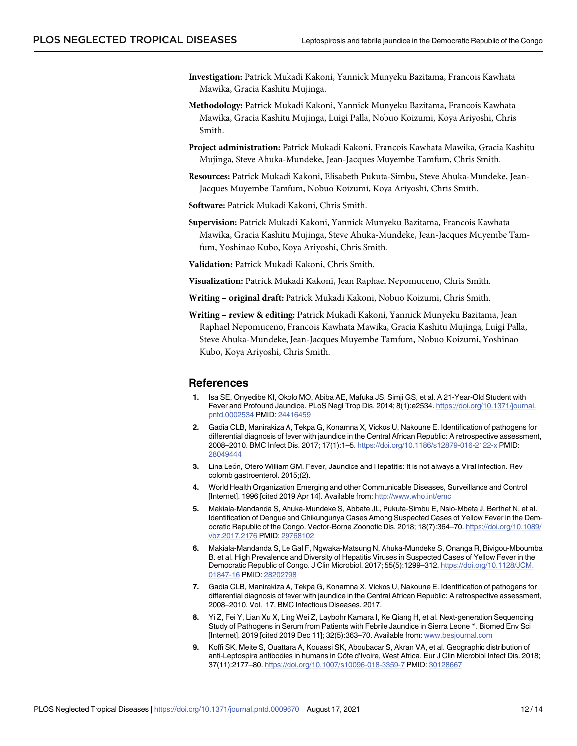- <span id="page-11-0"></span>**Investigation:** Patrick Mukadi Kakoni, Yannick Munyeku Bazitama, Francois Kawhata Mawika, Gracia Kashitu Mujinga.
- **Methodology:** Patrick Mukadi Kakoni, Yannick Munyeku Bazitama, Francois Kawhata Mawika, Gracia Kashitu Mujinga, Luigi Palla, Nobuo Koizumi, Koya Ariyoshi, Chris Smith.
- **Project administration:** Patrick Mukadi Kakoni, Francois Kawhata Mawika, Gracia Kashitu Mujinga, Steve Ahuka-Mundeke, Jean-Jacques Muyembe Tamfum, Chris Smith.
- **Resources:** Patrick Mukadi Kakoni, Elisabeth Pukuta-Simbu, Steve Ahuka-Mundeke, Jean-Jacques Muyembe Tamfum, Nobuo Koizumi, Koya Ariyoshi, Chris Smith.
- **Software:** Patrick Mukadi Kakoni, Chris Smith.
- **Supervision:** Patrick Mukadi Kakoni, Yannick Munyeku Bazitama, Francois Kawhata Mawika, Gracia Kashitu Mujinga, Steve Ahuka-Mundeke, Jean-Jacques Muyembe Tamfum, Yoshinao Kubo, Koya Ariyoshi, Chris Smith.
- **Validation:** Patrick Mukadi Kakoni, Chris Smith.
- **Visualization:** Patrick Mukadi Kakoni, Jean Raphael Nepomuceno, Chris Smith.
- **Writing – original draft:** Patrick Mukadi Kakoni, Nobuo Koizumi, Chris Smith.
- **Writing – review & editing:** Patrick Mukadi Kakoni, Yannick Munyeku Bazitama, Jean Raphael Nepomuceno, Francois Kawhata Mawika, Gracia Kashitu Mujinga, Luigi Palla, Steve Ahuka-Mundeke, Jean-Jacques Muyembe Tamfum, Nobuo Koizumi, Yoshinao Kubo, Koya Ariyoshi, Chris Smith.

#### **References**

- **[1](#page-1-0).** Isa SE, Onyedibe KI, Okolo MO, Abiba AE, Mafuka JS, Simji GS, et al. A 21-Year-Old Student with Fever and Profound Jaundice. PLoS Negl Trop Dis. 2014; 8(1):e2534. [https://doi.org/10.1371/journal.](https://doi.org/10.1371/journal.pntd.0002534) [pntd.0002534](https://doi.org/10.1371/journal.pntd.0002534) PMID: [24416459](http://www.ncbi.nlm.nih.gov/pubmed/24416459)
- **2.** Gadia CLB, Manirakiza A, Tekpa G, Konamna X, Vickos U, Nakoune E. Identification of pathogens for differential diagnosis of fever with jaundice in the Central African Republic: A retrospective assessment, 2008–2010. BMC Infect Dis. 2017; 17(1):1–5. <https://doi.org/10.1186/s12879-016-2122-x> PMID: [28049444](http://www.ncbi.nlm.nih.gov/pubmed/28049444)
- **[3](#page-1-0).** Lina León, Otero William GM. Fever, Jaundice and Hepatitis: It is not always a Viral Infection. Rev colomb gastroenterol. 2015;(2).
- **[4](#page-2-0).** World Health Organization Emerging and other Communicable Diseases, Surveillance and Control [Internet]. 1996 [cited 2019 Apr 14]. Available from: <http://www.who.int/emc>
- **[5](#page-2-0).** Makiala-Mandanda S, Ahuka-Mundeke S, Abbate JL, Pukuta-Simbu E, Nsio-Mbeta J, Berthet N, et al. Identification of Dengue and Chikungunya Cases Among Suspected Cases of Yellow Fever in the Democratic Republic of the Congo. Vector-Borne Zoonotic Dis. 2018; 18(7):364–70. [https://doi.org/10.1089/](https://doi.org/10.1089/vbz.2017.2176) [vbz.2017.2176](https://doi.org/10.1089/vbz.2017.2176) PMID: [29768102](http://www.ncbi.nlm.nih.gov/pubmed/29768102)
- **[6](#page-2-0).** Makiala-Mandanda S, Le Gal F, Ngwaka-Matsung N, Ahuka-Mundeke S, Onanga R, Bivigou-Mboumba B, et al. High Prevalence and Diversity of Hepatitis Viruses in Suspected Cases of Yellow Fever in the Democratic Republic of Congo. J Clin Microbiol. 2017; 55(5):1299–312. [https://doi.org/10.1128/JCM.](https://doi.org/10.1128/JCM.01847-16) [01847-16](https://doi.org/10.1128/JCM.01847-16) PMID: [28202798](http://www.ncbi.nlm.nih.gov/pubmed/28202798)
- **[7](#page-2-0).** Gadia CLB, Manirakiza A, Tekpa G, Konamna X, Vickos U, Nakoune E. Identification of pathogens for differential diagnosis of fever with jaundice in the Central African Republic: A retrospective assessment, 2008–2010. Vol. 17, BMC Infectious Diseases. 2017.
- **8.** Yi Z, Fei Y, Lian Xu X, Ling Wei Z, Laybohr Kamara I, Ke Qiang H, et al. Next-generation Sequencing Study of Pathogens in Serum from Patients with Febrile Jaundice in Sierra Leone \*. Biomed Env Sci [Internet]. 2019 [cited 2019 Dec 11]; 32(5):363–70. Available from: [www.besjournal.com](http://www.besjournal.com)
- **[9](#page-9-0).** Koffi SK, Meite S, Ouattara A, Kouassi SK, Aboubacar S, Akran VA, et al. Geographic distribution of anti-Leptospira antibodies in humans in Côte d'Ivoire, West Africa. Eur J Clin Microbiol Infect Dis. 2018; 37(11):2177–80. <https://doi.org/10.1007/s10096-018-3359-7> PMID: [30128667](http://www.ncbi.nlm.nih.gov/pubmed/30128667)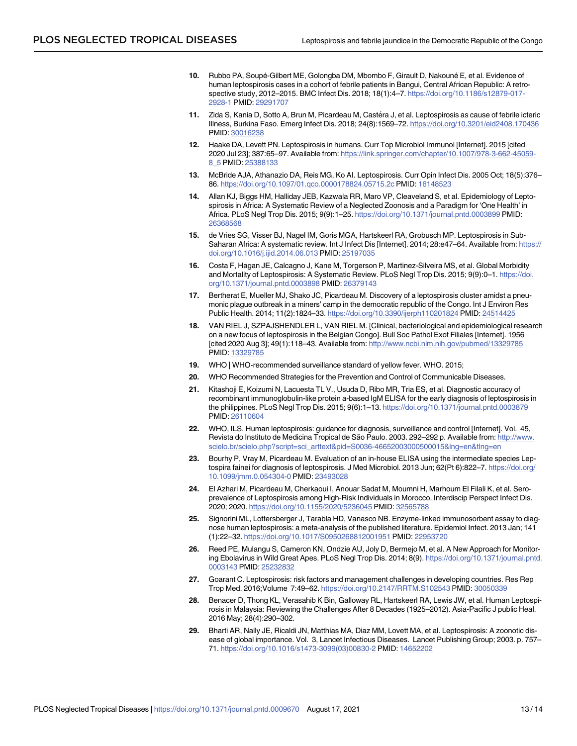- <span id="page-12-0"></span>**[10](#page-8-0).** Rubbo PA, Soupé-Gilbert ME, Golongba DM, Mbombo F, Girault D, Nakouné E, et al. Evidence of human leptospirosis cases in a cohort of febrile patients in Bangui, Central African Republic: A retrospective study, 2012–2015. BMC Infect Dis. 2018; 18(1):4–7. [https://doi.org/10.1186/s12879-017-](https://doi.org/10.1186/s12879-017-2928-1) [2928-1](https://doi.org/10.1186/s12879-017-2928-1) PMID: [29291707](http://www.ncbi.nlm.nih.gov/pubmed/29291707)
- **[11](#page-2-0).** Zida S, Kania D, Sotto A, Brun M, Picardeau M, Castéra J, et al. Leptospirosis as cause of febrile icteric Illness, Burkina Faso. Emerg Infect Dis. 2018; 24(8):1569–72. <https://doi.org/10.3201/eid2408.170436> PMID: [30016238](http://www.ncbi.nlm.nih.gov/pubmed/30016238)
- **[12](#page-2-0).** Haake DA, Levett PN. Leptospirosis in humans. Curr Top Microbiol Immunol [Internet]. 2015 [cited 2020 Jul 23]; 387:65–97. Available from: [https://link.springer.com/chapter/10.1007/978-3-662-45059-](https://link.springer.com/chapter/10.1007/978-3-662-45059-8_5) [8\\_5](https://link.springer.com/chapter/10.1007/978-3-662-45059-8_5) PMID: [25388133](http://www.ncbi.nlm.nih.gov/pubmed/25388133)
- **[13](#page-2-0).** McBride AJA, Athanazio DA, Reis MG, Ko AI. Leptospirosis. Curr Opin Infect Dis. 2005 Oct; 18(5):376– 86. <https://doi.org/10.1097/01.qco.0000178824.05715.2c> PMID: [16148523](http://www.ncbi.nlm.nih.gov/pubmed/16148523)
- **[14](#page-2-0).** Allan KJ, Biggs HM, Halliday JEB, Kazwala RR, Maro VP, Cleaveland S, et al. Epidemiology of Leptospirosis in Africa: A Systematic Review of a Neglected Zoonosis and a Paradigm for 'One Health' in Africa. PLoS Negl Trop Dis. 2015; 9(9):1–25. <https://doi.org/10.1371/journal.pntd.0003899> PMID: [26368568](http://www.ncbi.nlm.nih.gov/pubmed/26368568)
- **[15](#page-8-0).** de Vries SG, Visser BJ, Nagel IM, Goris MGA, Hartskeerl RA, Grobusch MP. Leptospirosis in Sub-Saharan Africa: A systematic review. Int J Infect Dis [Internet]. 2014; 28:e47–64. Available from: [https://](https://doi.org/10.1016/j.ijid.2014.06.013) [doi.org/10.1016/j.ijid.2014.06.013](https://doi.org/10.1016/j.ijid.2014.06.013) PMID: [25197035](http://www.ncbi.nlm.nih.gov/pubmed/25197035)
- **[16](#page-2-0).** Costa F, Hagan JE, Calcagno J, Kane M, Torgerson P, Martinez-Silveira MS, et al. Global Morbidity and Mortality of Leptospirosis: A Systematic Review. PLoS Negl Trop Dis. 2015; 9(9):0–1. [https://doi.](https://doi.org/10.1371/journal.pntd.0003898) [org/10.1371/journal.pntd.0003898](https://doi.org/10.1371/journal.pntd.0003898) PMID: [26379143](http://www.ncbi.nlm.nih.gov/pubmed/26379143)
- **[17](#page-2-0).** Bertherat E, Mueller MJ, Shako JC, Picardeau M. Discovery of a leptospirosis cluster amidst a pneumonic plague outbreak in a miners' camp in the democratic republic of the Congo. Int J Environ Res Public Health. 2014; 11(2):1824–33. <https://doi.org/10.3390/ijerph110201824> PMID: [24514425](http://www.ncbi.nlm.nih.gov/pubmed/24514425)
- **[18](#page-2-0).** VAN RIEL J, SZPAJSHENDLER L, VAN RIEL M. [Clinical, bacteriological and epidemiological research on a new focus of leptospirosis in the Belgian Congo]. Bull Soc Pathol Exot Filiales [Internet]. 1956 [cited 2020 Aug 3]; 49(1):118–43. Available from: <http://www.ncbi.nlm.nih.gov/pubmed/13329785> PMID: [13329785](http://www.ncbi.nlm.nih.gov/pubmed/13329785)
- **[19](#page-3-0).** WHO | WHO-recommended surveillance standard of yellow fever. WHO. 2015;
- **[20](#page-3-0).** WHO Recommended Strategies for the Prevention and Control of Communicable Diseases.
- **[21](#page-3-0).** Kitashoji E, Koizumi N, Lacuesta TL V., Usuda D, Ribo MR, Tria ES, et al. Diagnostic accuracy of recombinant immunoglobulin-like protein a-based IgM ELISA for the early diagnosis of leptospirosis in the philippines. PLoS Negl Trop Dis. 2015; 9(6):1–13. <https://doi.org/10.1371/journal.pntd.0003879> PMID: [26110604](http://www.ncbi.nlm.nih.gov/pubmed/26110604)
- **[22](#page-3-0).** WHO, ILS. Human leptospirosis: guidance for diagnosis, surveillance and control [Internet]. Vol. 45, Revista do Instituto de Medicina Tropical de São Paulo. 2003. 292–292 p. Available from: [http://www.](http://www.scielo.br/scielo.php?script=sci_arttext&pid=S0036-46652003000500015&lng=en&tlng=en) [scielo.br/scielo.php?script=sci\\_arttext&pid=S0036-46652003000500015&lng=en&tlng=en](http://www.scielo.br/scielo.php?script=sci_arttext&pid=S0036-46652003000500015&lng=en&tlng=en)
- **[23](#page-3-0).** Bourhy P, Vray M, Picardeau M. Evaluation of an in-house ELISA using the intermediate species Leptospira fainei for diagnosis of leptospirosis. J Med Microbiol. 2013 Jun; 62(Pt 6):822–7. [https://doi.org/](https://doi.org/10.1099/jmm.0.054304-0) [10.1099/jmm.0.054304-0](https://doi.org/10.1099/jmm.0.054304-0) PMID: [23493028](http://www.ncbi.nlm.nih.gov/pubmed/23493028)
- **24.** El Azhari M, Picardeau M, Cherkaoui I, Anouar Sadat M, Moumni H, Marhoum El Filali K, et al. Seroprevalence of Leptospirosis among High-Risk Individuals in Morocco. Interdiscip Perspect Infect Dis. 2020; 2020. <https://doi.org/10.1155/2020/5236045> PMID: [32565788](http://www.ncbi.nlm.nih.gov/pubmed/32565788)
- **[25](#page-3-0).** Signorini ML, Lottersberger J, Tarabla HD, Vanasco NB. Enzyme-linked immunosorbent assay to diagnose human leptospirosis: a meta-analysis of the published literature. Epidemiol Infect. 2013 Jan; 141 (1):22–32. <https://doi.org/10.1017/S0950268812001951> PMID: [22953720](http://www.ncbi.nlm.nih.gov/pubmed/22953720)
- **[26](#page-8-0).** Reed PE, Mulangu S, Cameron KN, Ondzie AU, Joly D, Bermejo M, et al. A New Approach for Monitoring Ebolavirus in Wild Great Apes. PLoS Negl Trop Dis. 2014; 8(9). [https://doi.org/10.1371/journal.pntd.](https://doi.org/10.1371/journal.pntd.0003143) [0003143](https://doi.org/10.1371/journal.pntd.0003143) PMID: [25232832](http://www.ncbi.nlm.nih.gov/pubmed/25232832)
- **[27](#page-9-0).** Goarant C. Leptospirosis: risk factors and management challenges in developing countries. Res Rep Trop Med. 2016;Volume 7:49–62. <https://doi.org/10.2147/RRTM.S102543> PMID: [30050339](http://www.ncbi.nlm.nih.gov/pubmed/30050339)
- **[28](#page-9-0).** Benacer D, Thong KL, Verasahib K Bin, Galloway RL, Hartskeerl RA, Lewis JW, et al. Human Leptospirosis in Malaysia: Reviewing the Challenges After 8 Decades (1925–2012). Asia-Pacific J public Heal. 2016 May; 28(4):290–302.
- **29.** Bharti AR, Nally JE, Ricaldi JN, Matthias MA, Diaz MM, Lovett MA, et al. Leptospirosis: A zoonotic disease of global importance. Vol. 3, Lancet Infectious Diseases. Lancet Publishing Group; 2003. p. 757– 71. [https://doi.org/10.1016/s1473-3099\(03\)00830-2](https://doi.org/10.1016/s1473-3099%2803%2900830-2) PMID: [14652202](http://www.ncbi.nlm.nih.gov/pubmed/14652202)